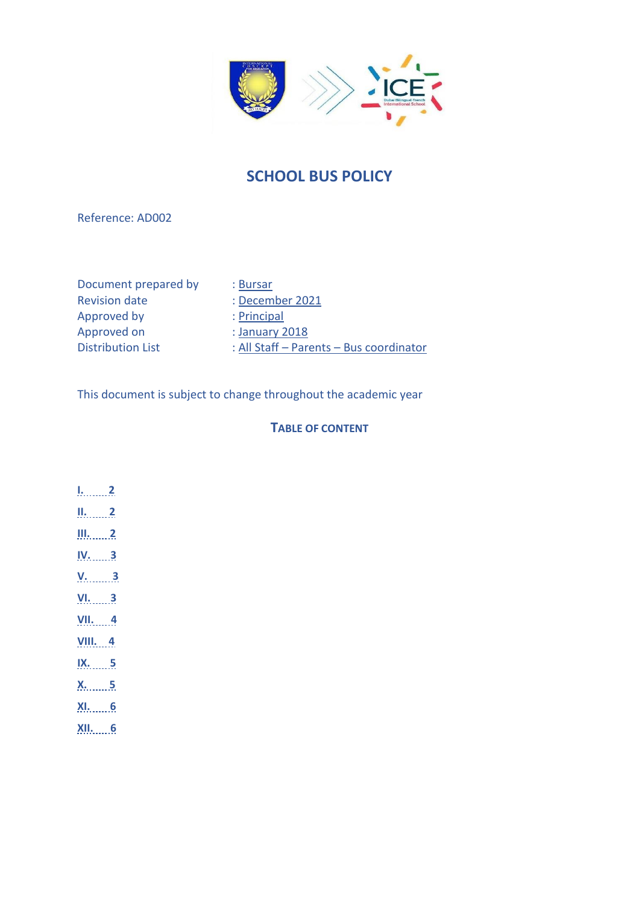

# **SCHOOL BUS POLICY**

### Reference: AD002

Document prepared by : Bursar<br>Revision date : Decem Approved by : Principal Approved on : January 2018

: December 2021

Distribution List : All Staff – Parents – Bus coordinator

This document is subject to change throughout the academic year

### **TABLE OF CONTENT**

- **[I.](#page-1-0) 2**
- **[II.](#page-1-1) 2**
- **[III.](#page-1-2) 2**
- **[IV.](#page-2-0) 3**
- **[V.](#page-2-1) 3**
- **[VI.](#page-2-2) 3**
- **[VII.](#page-3-0) 4**
- **[VIII.](#page-3-1) 4**
- **[IX.](#page-4-0) 5**
- **[X.](#page-4-1) 5**
- **[XI.](#page-5-0) 6**
- 
- **[XII.](#page-5-1) 6**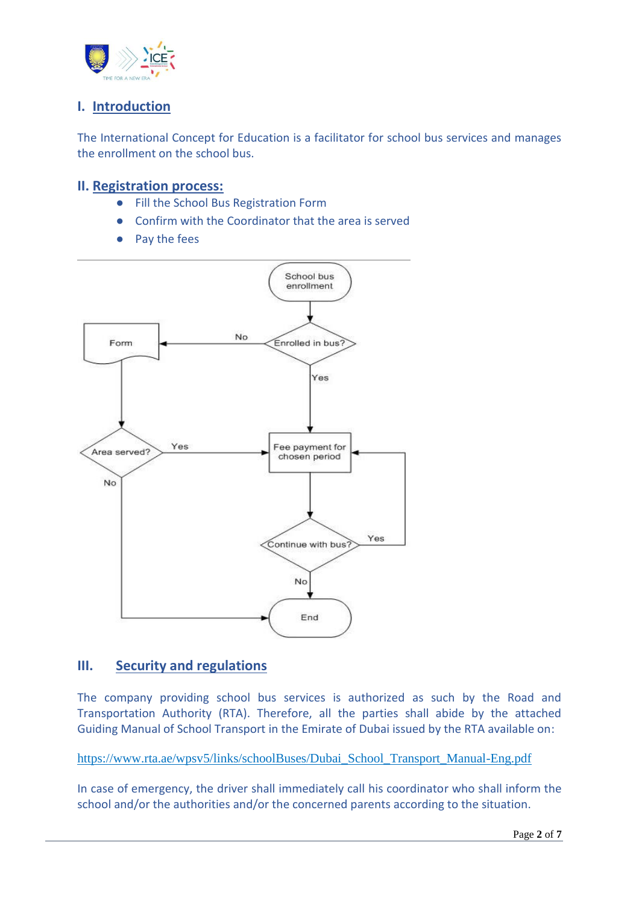

# <span id="page-1-0"></span>**I. Introduction**

The International Concept for Education is a facilitator for school bus services and manages the enrollment on the school bus.

## <span id="page-1-1"></span>**II. Registration process:**

- Fill the School Bus Registration Form
- Confirm with the Coordinator that the area is served
- Pay the fees



# <span id="page-1-2"></span>**III. Security and regulations**

The company providing school bus services is authorized as such by the Road and Transportation Authority (RTA). Therefore, all the parties shall abide by the attached Guiding Manual of School Transport in the Emirate of Dubai issued by the RTA available on:

[https://www.rta.ae/wpsv5/links/schoolBuses/Dubai\\_School\\_Transport\\_Manual-Eng.pdf](https://www.rta.ae/wpsv5/links/schoolBuses/Dubai_School_Transport_Manual-Eng.pdf)

In case of emergency, the driver shall immediately call his coordinator who shall inform the school and/or the authorities and/or the concerned parents according to the situation.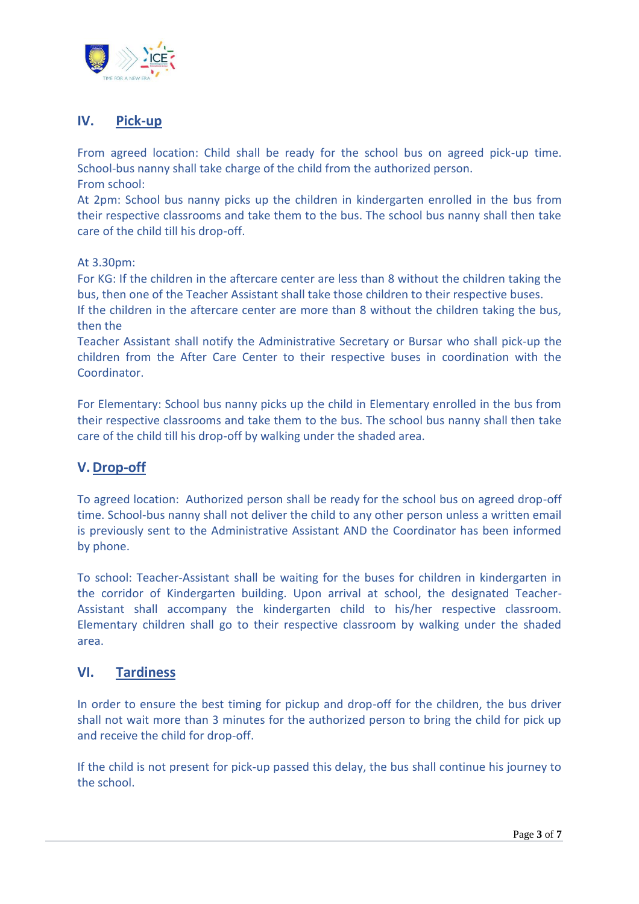![](_page_2_Picture_0.jpeg)

# <span id="page-2-0"></span>**IV. Pick-up**

From agreed location: Child shall be ready for the school bus on agreed pick-up time. School-bus nanny shall take charge of the child from the authorized person. From school:

At 2pm: School bus nanny picks up the children in kindergarten enrolled in the bus from their respective classrooms and take them to the bus. The school bus nanny shall then take care of the child till his drop-off.

#### At 3.30pm:

For KG: If the children in the aftercare center are less than 8 without the children taking the bus, then one of the Teacher Assistant shall take those children to their respective buses.

If the children in the aftercare center are more than 8 without the children taking the bus, then the

Teacher Assistant shall notify the Administrative Secretary or Bursar who shall pick-up the children from the After Care Center to their respective buses in coordination with the Coordinator.

For Elementary: School bus nanny picks up the child in Elementary enrolled in the bus from their respective classrooms and take them to the bus. The school bus nanny shall then take care of the child till his drop-off by walking under the shaded area.

### <span id="page-2-1"></span>**V.Drop-off**

To agreed location: Authorized person shall be ready for the school bus on agreed drop-off time. School-bus nanny shall not deliver the child to any other person unless a written email is previously sent to the Administrative Assistant AND the Coordinator has been informed by phone.

To school: Teacher-Assistant shall be waiting for the buses for children in kindergarten in the corridor of Kindergarten building. Upon arrival at school, the designated Teacher-Assistant shall accompany the kindergarten child to his/her respective classroom. Elementary children shall go to their respective classroom by walking under the shaded area.

#### <span id="page-2-2"></span>**VI. Tardiness**

In order to ensure the best timing for pickup and drop-off for the children, the bus driver shall not wait more than 3 minutes for the authorized person to bring the child for pick up and receive the child for drop-off.

If the child is not present for pick-up passed this delay, the bus shall continue his journey to the school.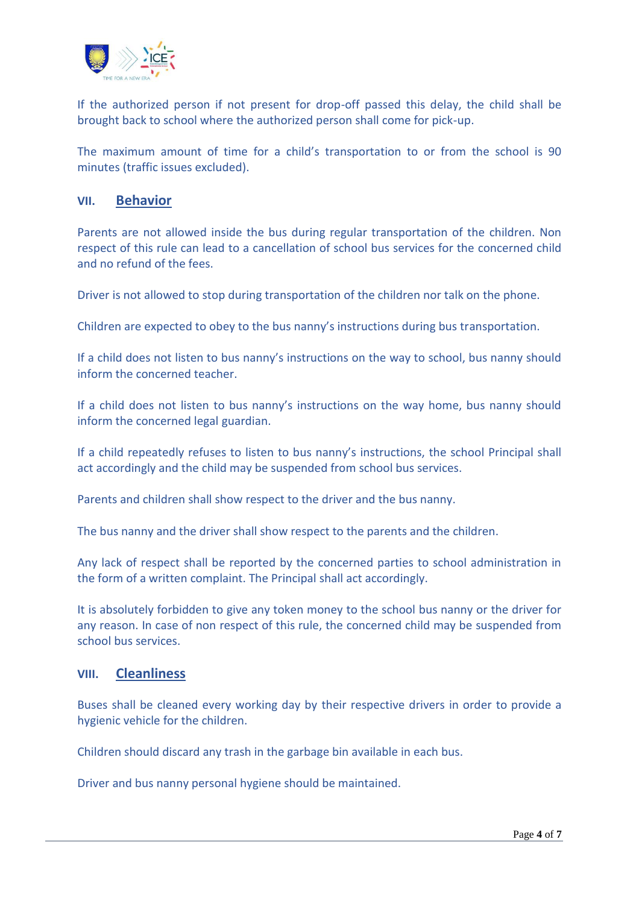![](_page_3_Picture_0.jpeg)

If the authorized person if not present for drop-off passed this delay, the child shall be brought back to school where the authorized person shall come for pick-up.

The maximum amount of time for a child's transportation to or from the school is 90 minutes (traffic issues excluded).

#### <span id="page-3-0"></span>**VII. Behavior**

Parents are not allowed inside the bus during regular transportation of the children. Non respect of this rule can lead to a cancellation of school bus services for the concerned child and no refund of the fees.

Driver is not allowed to stop during transportation of the children nor talk on the phone.

Children are expected to obey to the bus nanny's instructions during bus transportation.

If a child does not listen to bus nanny's instructions on the way to school, bus nanny should inform the concerned teacher.

If a child does not listen to bus nanny's instructions on the way home, bus nanny should inform the concerned legal guardian.

If a child repeatedly refuses to listen to bus nanny's instructions, the school Principal shall act accordingly and the child may be suspended from school bus services.

Parents and children shall show respect to the driver and the bus nanny.

The bus nanny and the driver shall show respect to the parents and the children.

Any lack of respect shall be reported by the concerned parties to school administration in the form of a written complaint. The Principal shall act accordingly.

It is absolutely forbidden to give any token money to the school bus nanny or the driver for any reason. In case of non respect of this rule, the concerned child may be suspended from school bus services.

#### <span id="page-3-1"></span>**VIII. Cleanliness**

Buses shall be cleaned every working day by their respective drivers in order to provide a hygienic vehicle for the children.

Children should discard any trash in the garbage bin available in each bus.

Driver and bus nanny personal hygiene should be maintained.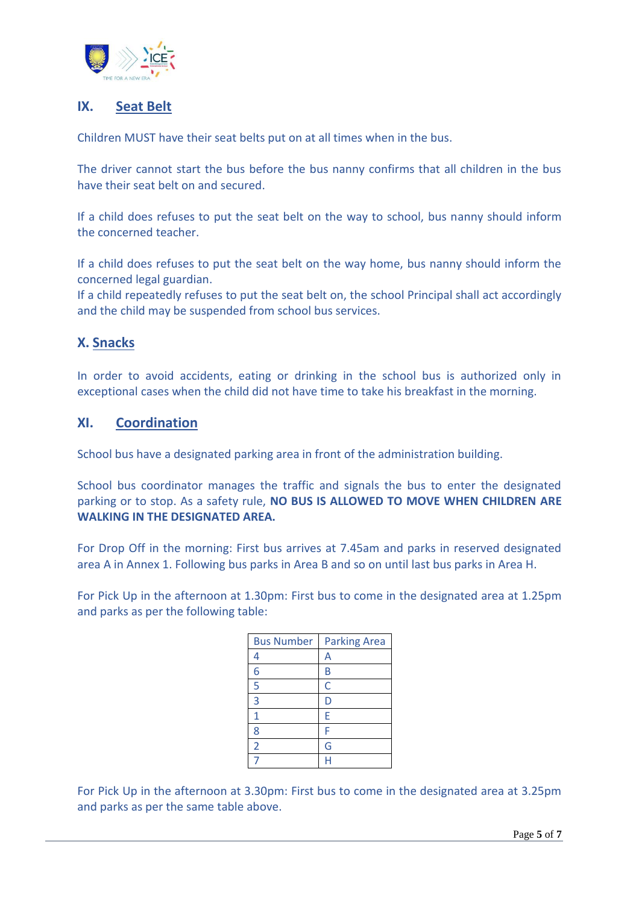![](_page_4_Picture_0.jpeg)

# <span id="page-4-0"></span>**IX. Seat Belt**

Children MUST have their seat belts put on at all times when in the bus.

The driver cannot start the bus before the bus nanny confirms that all children in the bus have their seat belt on and secured.

If a child does refuses to put the seat belt on the way to school, bus nanny should inform the concerned teacher.

If a child does refuses to put the seat belt on the way home, bus nanny should inform the concerned legal guardian.

If a child repeatedly refuses to put the seat belt on, the school Principal shall act accordingly and the child may be suspended from school bus services.

# <span id="page-4-1"></span>**X. Snacks**

In order to avoid accidents, eating or drinking in the school bus is authorized only in exceptional cases when the child did not have time to take his breakfast in the morning.

## **XI. Coordination**

School bus have a designated parking area in front of the administration building.

School bus coordinator manages the traffic and signals the bus to enter the designated parking or to stop. As a safety rule, **NO BUS IS ALLOWED TO MOVE WHEN CHILDREN ARE WALKING IN THE DESIGNATED AREA.**

For Drop Off in the morning: First bus arrives at 7.45am and parks in reserved designated area A in Annex 1. Following bus parks in Area B and so on until last bus parks in Area H.

For Pick Up in the afternoon at 1.30pm: First bus to come in the designated area at 1.25pm and parks as per the following table:

| <b>Bus Number</b> | <b>Parking Area</b> |
|-------------------|---------------------|
| 4                 | Α                   |
| 6                 | В                   |
| 5                 | Ċ                   |
| 3                 | D                   |
| $\overline{1}$    | E                   |
| 8                 | F                   |
| $\overline{2}$    | G                   |
|                   |                     |

For Pick Up in the afternoon at 3.30pm: First bus to come in the designated area at 3.25pm and parks as per the same table above.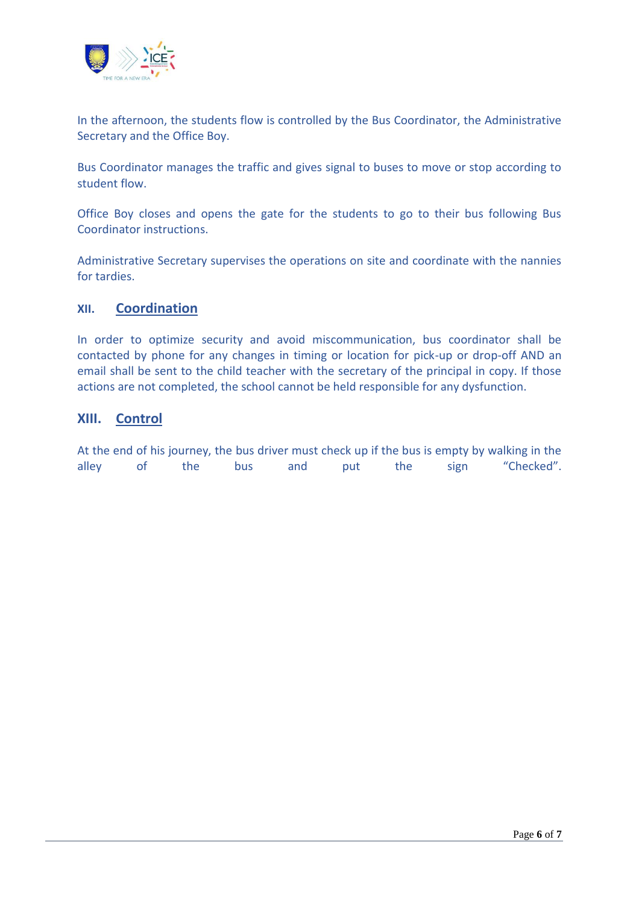![](_page_5_Picture_0.jpeg)

In the afternoon, the students flow is controlled by the Bus Coordinator, the Administrative Secretary and the Office Boy.

Bus Coordinator manages the traffic and gives signal to buses to move or stop according to student flow.

Office Boy closes and opens the gate for the students to go to their bus following Bus Coordinator instructions.

Administrative Secretary supervises the operations on site and coordinate with the nannies for tardies.

#### <span id="page-5-0"></span>**XII. Coordination**

In order to optimize security and avoid miscommunication, bus coordinator shall be contacted by phone for any changes in timing or location for pick-up or drop-off AND an email shall be sent to the child teacher with the secretary of the principal in copy. If those actions are not completed, the school cannot be held responsible for any dysfunction.

### <span id="page-5-1"></span>**XIII. Control**

At the end of his journey, the bus driver must check up if the bus is empty by walking in the alley of the bus and put the sign "Checked".